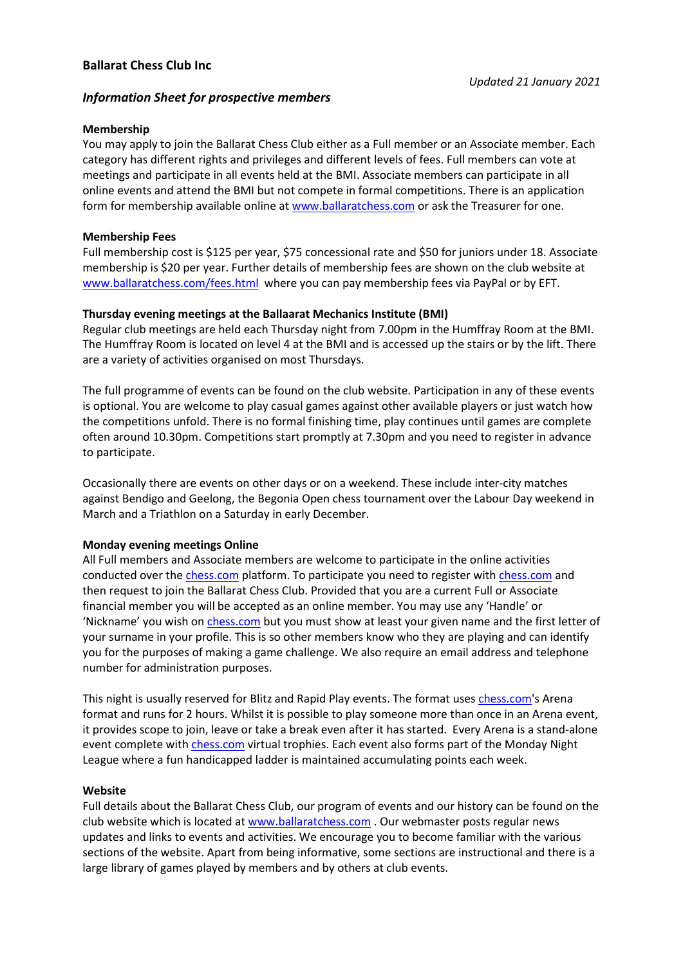# Information Sheet for prospective members

## Membership

You may apply to join the Ballarat Chess Club either as a Full member or an Associate member. Each category has different rights and privileges and different levels of fees. Full members can vote at meetings and participate in all events held at the BMI. Associate members can participate in all online events and attend the BMI but not compete in formal competitions. There is an application form for membership available online at www.ballaratchess.com or ask the Treasurer for one.

## Membership Fees

Full membership cost is \$125 per year, \$75 concessional rate and \$50 for juniors under 18. Associate membership is \$20 per year. Further details of membership fees are shown on the club website at www.ballaratchess.com/fees.html where you can pay membership fees via PayPal or by EFT.

## Thursday evening meetings at the Ballaarat Mechanics Institute (BMI)

Regular club meetings are held each Thursday night from 7.00pm in the Humffray Room at the BMI. The Humffray Room is located on level 4 at the BMI and is accessed up the stairs or by the lift. There are a variety of activities organised on most Thursdays.

The full programme of events can be found on the club website. Participation in any of these events is optional. You are welcome to play casual games against other available players or just watch how the competitions unfold. There is no formal finishing time, play continues until games are complete often around 10.30pm. Competitions start promptly at 7.30pm and you need to register in advance to participate.

Occasionally there are events on other days or on a weekend. These include inter-city matches against Bendigo and Geelong, the Begonia Open chess tournament over the Labour Day weekend in March and a Triathlon on a Saturday in early December.

### Monday evening meetings Online

All Full members and Associate members are welcome to participate in the online activities conducted over the chess.com platform. To participate you need to register with chess.com and then request to join the Ballarat Chess Club. Provided that you are a current Full or Associate financial member you will be accepted as an online member. You may use any 'Handle' or 'Nickname' you wish on chess.com but you must show at least your given name and the first letter of your surname in your profile. This is so other members know who they are playing and can identify you for the purposes of making a game challenge. We also require an email address and telephone number for administration purposes.

This night is usually reserved for Blitz and Rapid Play events. The format uses chess.com's Arena format and runs for 2 hours. Whilst it is possible to play someone more than once in an Arena event, it provides scope to join, leave or take a break even after it has started. Every Arena is a stand-alone event complete with chess.com virtual trophies. Each event also forms part of the Monday Night League where a fun handicapped ladder is maintained accumulating points each week.

### Website

Full details about the Ballarat Chess Club, our program of events and our history can be found on the club website which is located at www.ballaratchess.com . Our webmaster posts regular news updates and links to events and activities. We encourage you to become familiar with the various sections of the website. Apart from being informative, some sections are instructional and there is a large library of games played by members and by others at club events.